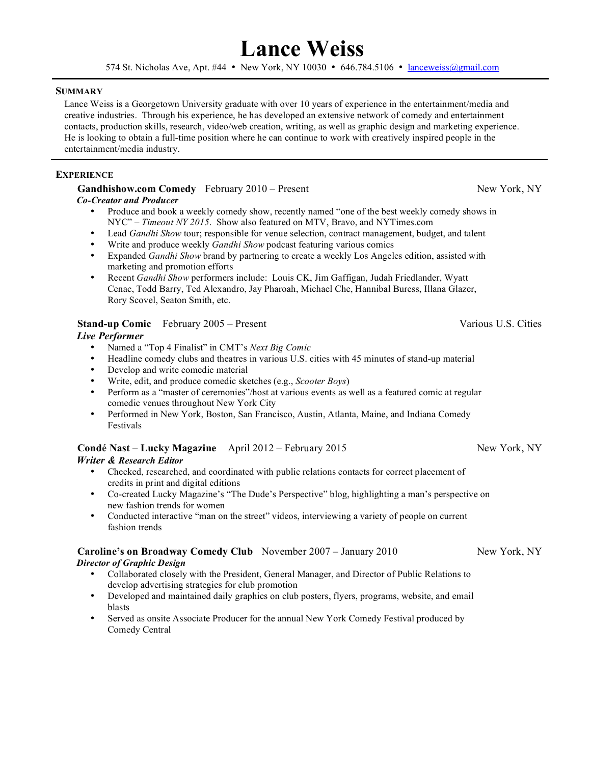# **Lance Weiss**

574 St. Nicholas Ave, Apt. #44 • New York, NY 10030 • 646.784.5106 • <u>lanceweiss@gmail.com</u>

#### **SUMMARY**

Lance Weiss is a Georgetown University graduate with over 10 years of experience in the entertainment/media and creative industries. Through his experience, he has developed an extensive network of comedy and entertainment contacts, production skills, research, video/web creation, writing, as well as graphic design and marketing experience. He is looking to obtain a full-time position where he can continue to work with creatively inspired people in the entertainment/media industry.

# **EXPERIENCE**

#### **Gandhishow.com Comedy** February 2010 – Present New York, NY  *Co-Creator and Producer*

- Produce and book a weekly comedy show, recently named "one of the best weekly comedy shows in NYC" – *Timeout NY 2015*. Show also featured on MTV, Bravo, and NYTimes.com
- Lead *Gandhi Show* tour; responsible for venue selection, contract management, budget, and talent
- Write and produce weekly *Gandhi Show* podcast featuring various comics<br>• Expanded *Gandhi Show* brand by partnering to create a weekly Los Angele
- Expanded *Gandhi Show* brand by partnering to create a weekly Los Angeles edition, assisted with marketing and promotion efforts
- Recent *Gandhi Show* performers include: Louis CK, Jim Gaffigan, Judah Friedlander, Wyatt Cenac, Todd Barry, Ted Alexandro, Jay Pharoah, Michael Che, Hannibal Buress, Illana Glazer, Rory Scovel, Seaton Smith, etc.

# **Stand-up Comic** February 2005 – Present Various U.S. Cities

# *Live Performer*

- Named a "Top 4 Finalist" in CMT's *Next Big Comic*
- Headline comedy clubs and theatres in various U.S. cities with 45 minutes of stand-up material
- Develop and write comedic material<br>• Write edit and produce comedic ske
- Write, edit, and produce comedic sketches (e.g., *Scooter Boys*)
- Perform as a "master of ceremonies"/host at various events as well as a featured comic at regular comedic venues throughout New York City
- Performed in New York, Boston, San Francisco, Austin, Atlanta, Maine, and Indiana Comedy Festivals

#### **Condé Nast – Lucky Magazine** April 2012 – February 2015 New York, NY  *Writer & Research Editor*

- Checked, researched, and coordinated with public relations contacts for correct placement of credits in print and digital editions
- Co-created Lucky Magazine's "The Dude's Perspective" blog, highlighting a man's perspective on new fashion trends for women
- Conducted interactive "man on the street" videos, interviewing a variety of people on current fashion trends

# **Caroline's on Broadway Comedy Club** November 2007 – January 2010 New York, NY  *Director of Graphic Design*

- Collaborated closely with the President, General Manager, and Director of Public Relations to develop advertising strategies for club promotion
- Developed and maintained daily graphics on club posters, flyers, programs, website, and email blasts
- Served as onsite Associate Producer for the annual New York Comedy Festival produced by Comedy Central